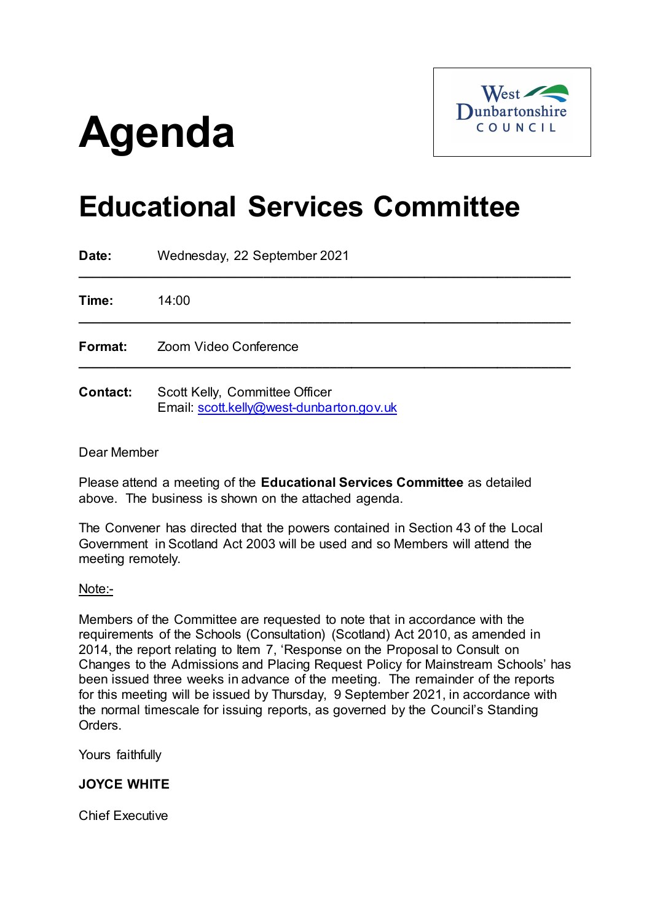# **Agenda**



# **Educational Services Committee**

| Date:           | Wednesday, 22 September 2021                                               |
|-----------------|----------------------------------------------------------------------------|
| Time:           | 14:00                                                                      |
| Format:         | Zoom Video Conference                                                      |
| <b>Contact:</b> | Scott Kelly, Committee Officer<br>Email: scott.kelly@west-dunbarton.gov.uk |

# Dear Member

Please attend a meeting of the **Educational Services Committee** as detailed above. The business is shown on the attached agenda.

The Convener has directed that the powers contained in Section 43 of the Local Government in Scotland Act 2003 will be used and so Members will attend the meeting remotely.

Note:-

Members of the Committee are requested to note that in accordance with the requirements of the Schools (Consultation) (Scotland) Act 2010, as amended in 2014, the report relating to Item 7, 'Response on the Proposal to Consult on Changes to the Admissions and Placing Request Policy for Mainstream Schools' has been issued three weeks in advance of the meeting. The remainder of the reports for this meeting will be issued by Thursday, 9 September 2021, in accordance with the normal timescale for issuing reports, as governed by the Council's Standing Orders.

Yours faithfully

**JOYCE WHITE**

Chief Executive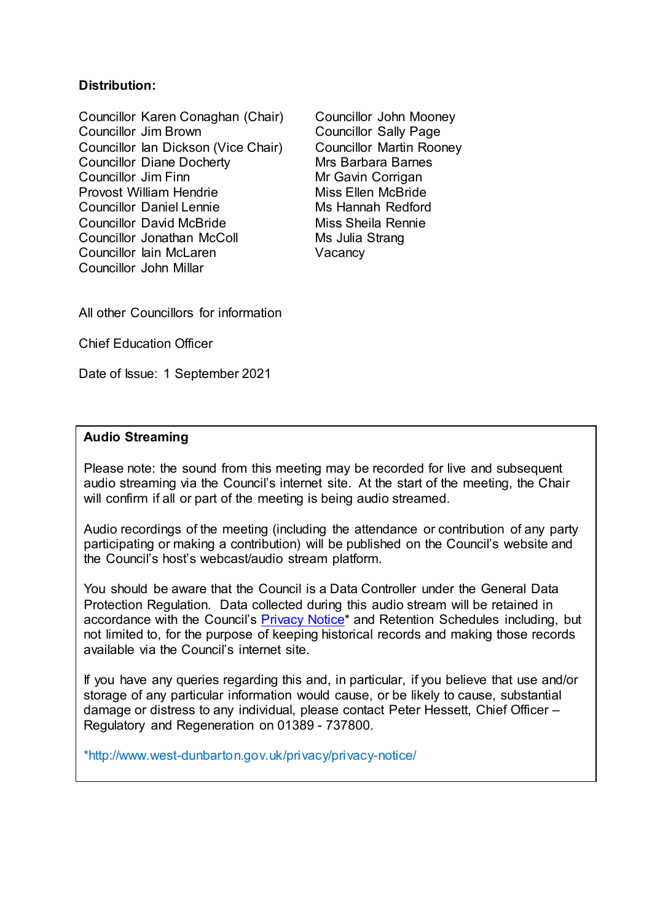# **Distribution:**

Councillor Karen Conaghan (Chair) Councillor John Mooney<br>Councillor Jim Brown Councillor Sally Page Councillor Ian Dickson (Vice Chair) Councillor Martin Rooney<br>Councillor Diane Docherty Mrs Barbara Barnes Councillor Diane Docherty<br>Councillor Jim Finn Provost William Hendrie<br>
Councillor Daniel Lennie<br>
Mis Hannah Redford Councillor Daniel Lennie Councillor David McBride Miss Sheila Rennie Councillor Jonathan McColl Ms Julia Strang Councillor Iain McLaren Vacancy Councillor John Millar

Councillor Sally Page Mr Gavin Corrigan

All other Councillors for information

Chief Education Officer

Date of Issue: 1 September 2021

#### **Audio Streaming**

Please note: the sound from this meeting may be recorded for live and subsequent audio streaming via the Council's internet site. At the start of the meeting, the Chair will confirm if all or part of the meeting is being audio streamed.

Audio recordings of the meeting (including the attendance or contribution of any party participating or making a contribution) will be published on the Council's website and the Council's host's webcast/audio stream platform.

You should be aware that the Council is a Data Controller under the General Data Protection Regulation. Data collected during this audio stream will be retained in accordance with the Council's [Privacy Notice\\*](http://www.west-dunbarton.gov.uk/privacy/privacy-notice/) and Retention Schedules including, but not limited to, for the purpose of keeping historical records and making those records available via the Council's internet site.

If you have any queries regarding this and, in particular, if you believe that use and/or storage of any particular information would cause, or be likely to cause, substantial damage or distress to any individual, please contact Peter Hessett, Chief Officer – Regulatory and Regeneration on 01389 - 737800.

\*http://www.west-dunbarton.gov.uk/privacy/privacy-notice/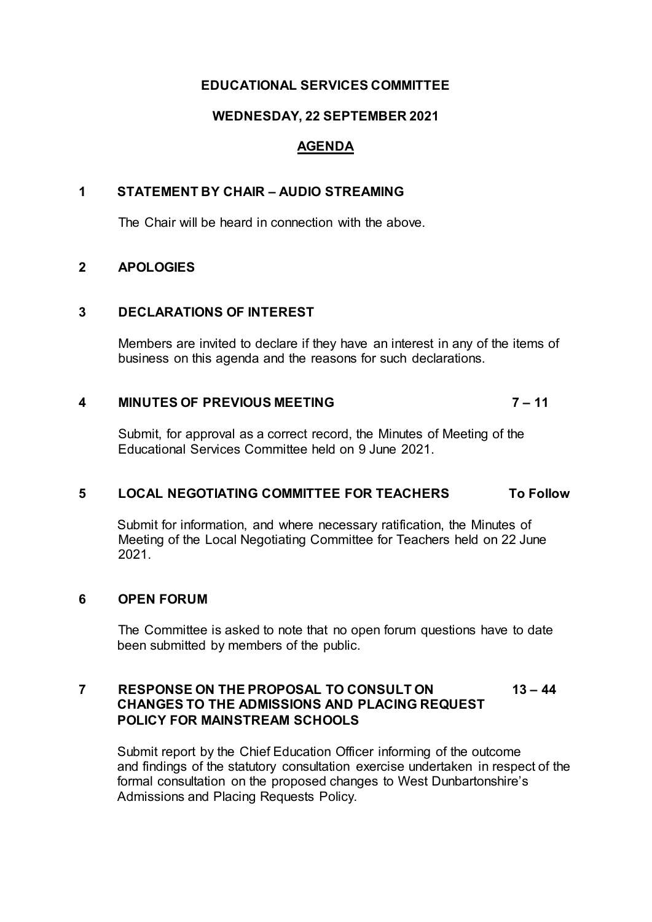# **EDUCATIONAL SERVICES COMMITTEE**

# **WEDNESDAY, 22 SEPTEMBER 2021**

# **AGENDA**

# **1 STATEMENT BY CHAIR – AUDIO STREAMING**

The Chair will be heard in connection with the above.

#### **2 APOLOGIES**

#### **3 DECLARATIONS OF INTEREST**

Members are invited to declare if they have an interest in any of the items of business on this agenda and the reasons for such declarations.

# **4 MINUTES OF PREVIOUS MEETING 7 – 11**

Submit, for approval as a correct record, the Minutes of Meeting of the Educational Services Committee held on 9 June 2021.

# **5 LOCAL NEGOTIATING COMMITTEE FOR TEACHERS To Follow**

Submit for information, and where necessary ratification, the Minutes of Meeting of the Local Negotiating Committee for Teachers held on 22 June 2021.

# **6 OPEN FORUM**

The Committee is asked to note that no open forum questions have to date been submitted by members of the public.

#### **7 RESPONSE ON THE PROPOSAL TO CONSULT ON 13 – 44 CHANGES TO THE ADMISSIONS AND PLACING REQUEST POLICY FOR MAINSTREAM SCHOOLS**

Submit report by the Chief Education Officer informing of the outcome and findings of the statutory consultation exercise undertaken in respect of the formal consultation on the proposed changes to West Dunbartonshire's Admissions and Placing Requests Policy.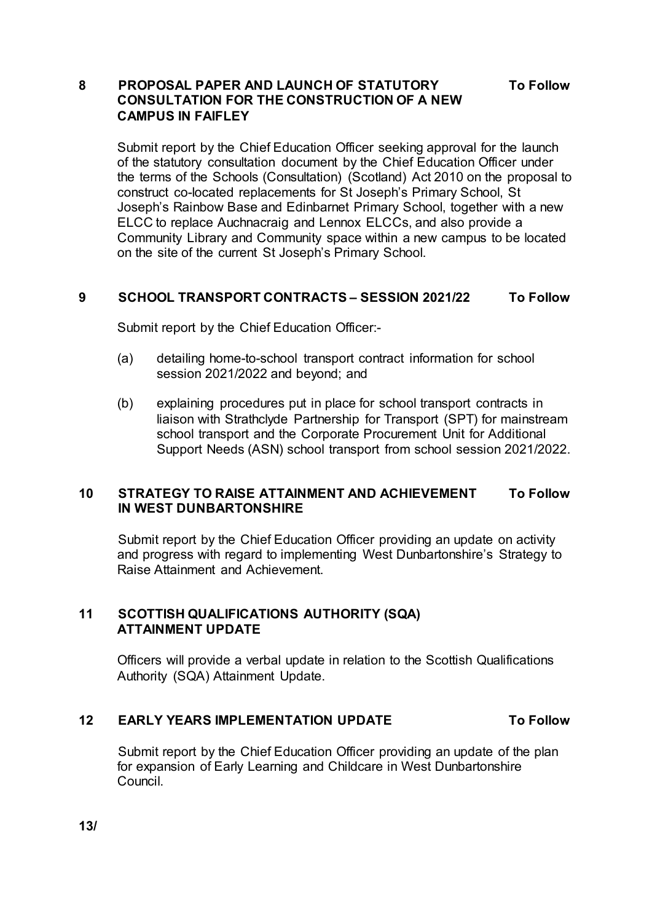# **8 PROPOSAL PAPER AND LAUNCH OF STATUTORY To Follow CONSULTATION FOR THE CONSTRUCTION OF A NEW CAMPUS IN FAIFLEY**

Submit report by the Chief Education Officer seeking approval for the launch of the statutory consultation document by the Chief Education Officer under the terms of the Schools (Consultation) (Scotland) Act 2010 on the proposal to construct co-located replacements for St Joseph's Primary School, St Joseph's Rainbow Base and Edinbarnet Primary School, together with a new ELCC to replace Auchnacraig and Lennox ELCCs, and also provide a Community Library and Community space within a new campus to be located on the site of the current St Joseph's Primary School.

# **9 SCHOOL TRANSPORT CONTRACTS – SESSION 2021/22 To Follow**

Submit report by the Chief Education Officer:-

- (a) detailing home-to-school transport contract information for school session 2021/2022 and beyond; and
- (b) explaining procedures put in place for school transport contracts in liaison with Strathclyde Partnership for Transport (SPT) for mainstream school transport and the Corporate Procurement Unit for Additional Support Needs (ASN) school transport from school session 2021/2022.

# **10 STRATEGY TO RAISE ATTAINMENT AND ACHIEVEMENT To Follow IN WEST DUNBARTONSHIRE**

Submit report by the Chief Education Officer providing an update on activity and progress with regard to implementing West Dunbartonshire's Strategy to Raise Attainment and Achievement.

# **11 SCOTTISH QUALIFICATIONS AUTHORITY (SQA) ATTAINMENT UPDATE**

Officers will provide a verbal update in relation to the Scottish Qualifications Authority (SQA) Attainment Update.

# **12 EARLY YEARS IMPLEMENTATION UPDATE To Follow**

Submit report by the Chief Education Officer providing an update of the plan for expansion of Early Learning and Childcare in West Dunbartonshire Council.